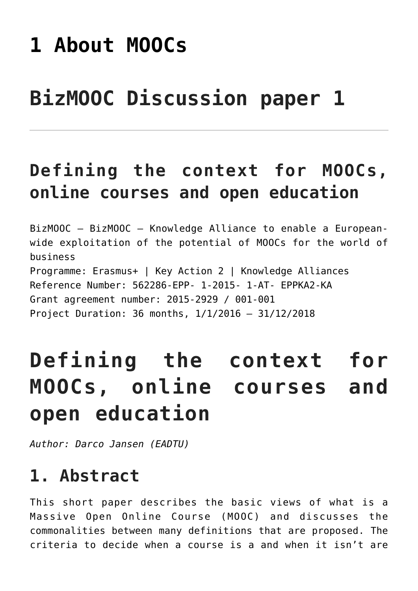# **[1 About MOOCs](https://bizmooc.eu/papers/about-moocs/)**

# **BizMOOC Discussion paper 1**

# **Defining the context for MOOCs, online courses and open education**

BizMOOC – BizMOOC – Knowledge Alliance to enable a Europeanwide exploitation of the potential of MOOCs for the world of business Programme: Erasmus+ | Key Action 2 | Knowledge Alliances Reference Number: 562286-EPP- 1-2015- 1-AT- EPPKA2-KA Grant agreement number: 2015-2929 / 001-001 Project Duration: 36 months, 1/1/2016 – 31/12/2018

# **Defining the context for MOOCs, online courses and open education**

*Author: Darco Jansen (EADTU)*

## **1. Abstract**

This short paper describes the basic views of what is a Massive Open Online Course (MOOC) and discusses the commonalities between many definitions that are proposed. The criteria to decide when a course is a and when it isn't are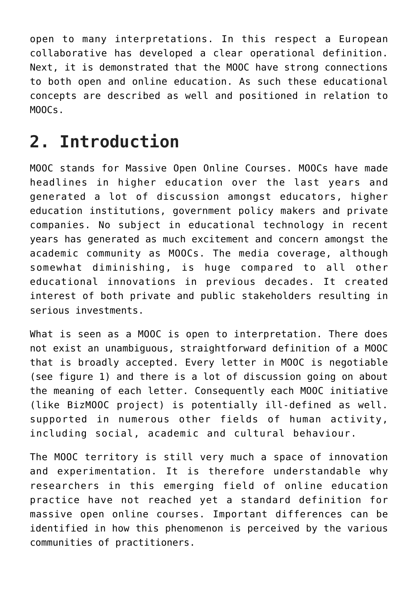open to many interpretations. In this respect a European collaborative has developed a clear operational definition. Next, it is demonstrated that the MOOC have strong connections to both open and online education. As such these educational concepts are described as well and positioned in relation to MOOCs.

## **2. Introduction**

MOOC stands for Massive Open Online Courses. MOOCs have made headlines in higher education over the last years and generated a lot of discussion amongst educators, higher education institutions, government policy makers and private companies. No subject in educational technology in recent years has generated as much excitement and concern amongst the academic community as MOOCs. The media coverage, although somewhat diminishing, is huge compared to all other educational innovations in previous decades. It created interest of both private and public stakeholders resulting in serious investments.

What is seen as a MOOC is open to interpretation. There does not exist an unambiguous, straightforward definition of a MOOC that is broadly accepted. Every letter in MOOC is negotiable (see figure 1) and there is a lot of discussion going on about the meaning of each letter. Consequently each MOOC initiative (like BizMOOC project) is potentially ill-defined as well. supported in numerous other fields of human activity, including social, academic and cultural behaviour.

The MOOC territory is still very much a space of innovation and experimentation. It is therefore understandable why researchers in this emerging field of online education practice have not reached yet a standard definition for massive open online courses. Important differences can be identified in how this phenomenon is perceived by the various communities of practitioners.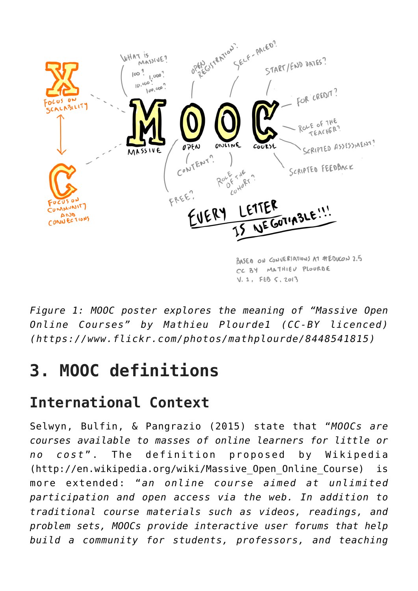

*Figure 1: MOOC poster explores the meaning of "Massive Open Online Courses" by Mathieu Plourde1 (CC-BY licenced) (<https://www.flickr.com/photos/mathplourde/8448541815>)*

# **3. MOOC definitions**

### **International Context**

Selwyn, Bulfin, & Pangrazio (2015) state that "*MOOCs are courses available to masses of online learners for little or no cost*". The definition proposed by Wikipedia ([http://en.wikipedia.org/wiki/Massive\\_Open\\_Online\\_Course\)](http://en.wikipedia.org/wiki/Massive_Open_Online_Course) is more extended: "*an online course aimed at unlimited participation and open access via the web. In addition to traditional course materials such as videos, readings, and problem sets, MOOCs provide interactive user forums that help build a community for students, professors, and teaching*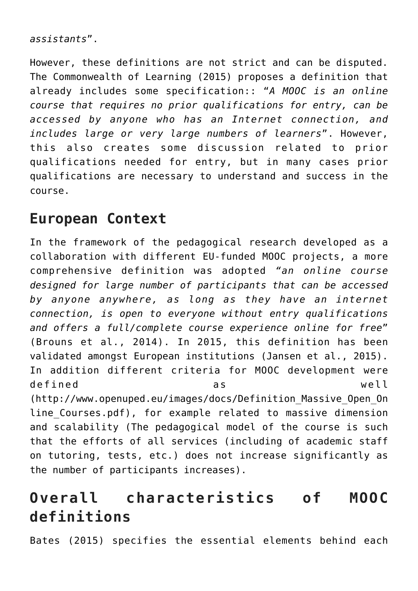```
assistants".
```
However, these definitions are not strict and can be disputed. The Commonwealth of Learning (2015) proposes a definition that already includes some specification:: "*A MOOC is an online course that requires no prior qualifications for entry, can be accessed by anyone who has an Internet connection, and includes large or very large numbers of learners*". However, this also creates some discussion related to prior qualifications needed for entry, but in many cases prior qualifications are necessary to understand and success in the course.

#### **European Context**

In the framework of the pedagogical research developed as a collaboration with different EU-funded MOOC projects, a more comprehensive definition was adopted *"an online course designed for large number of participants that can be accessed by anyone anywhere, as long as they have an internet connection, is open to everyone without entry qualifications and offers a full/complete course experience online for free*" (Brouns et al., 2014). In 2015, this definition has been validated amongst European institutions (Jansen et al., 2015). In addition different criteria for MOOC development were defined as well ([http://www.openuped.eu/images/docs/Definition\\_Massive\\_Open\\_On](http://www.openuped.eu/images/docs/Definition_Massive_Open_Online_Courses.pdf) line Courses.pdf), for example related to massive dimension and scalability (The pedagogical model of the course is such that the efforts of all services (including of academic staff on tutoring, tests, etc.) does not increase significantly as the number of participants increases).

### **Overall characteristics of MOOC definitions**

Bates (2015) specifies the essential elements behind each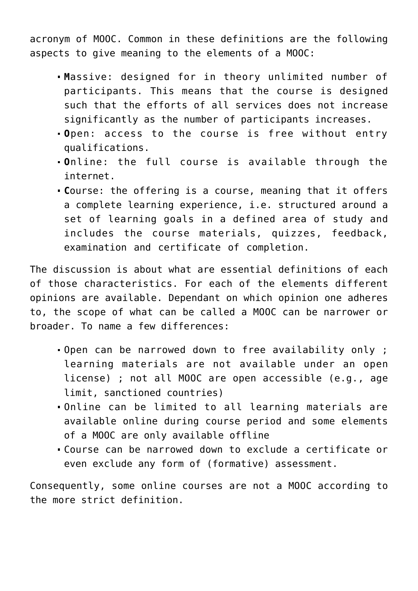acronym of MOOC. Common in these definitions are the following aspects to give meaning to the elements of a MOOC:

- **M**assive: designed for in theory unlimited number of participants. This means that the course is designed such that the efforts of all services does not increase significantly as the number of participants increases.
- **O**pen: access to the course is free without entry qualifications.
- **O**nline: the full course is available through the internet.
- **C**ourse: the offering is a course, meaning that it offers a complete learning experience, i.e. structured around a set of learning goals in a defined area of study and includes the course materials, quizzes, feedback, examination and certificate of completion.

The discussion is about what are essential definitions of each of those characteristics. For each of the elements different opinions are available. Dependant on which opinion one adheres to, the scope of what can be called a MOOC can be narrower or broader. To name a few differences:

- Open can be narrowed down to free availability only ; learning materials are not available under an open license) ; not all MOOC are open accessible (e.g., age limit, sanctioned countries)
- Online can be limited to all learning materials are available online during course period and some elements of a MOOC are only available offline
- Course can be narrowed down to exclude a certificate or even exclude any form of (formative) assessment.

Consequently, some online courses are not a MOOC according to the more strict definition.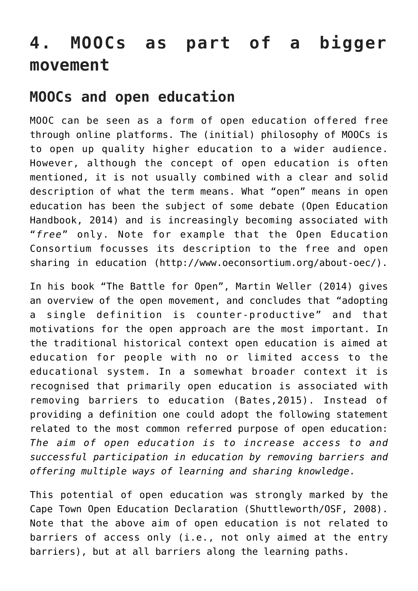## **4. MOOCs as part of a bigger movement**

#### **MOOCs and open education**

MOOC can be seen as a form of open education offered free through online platforms. The (initial) philosophy of MOOCs is to open up quality higher education to a wider audience. However, although the concept of open education is often mentioned, it is not usually combined with a clear and solid description of what the term means. What "open" means in open education has been the subject of some debate (Open Education Handbook, 2014) and is increasingly becoming associated with "*free*" only. Note for example that the Open Education Consortium focusses its description to the free and open sharing in education [\(http://www.oeconsortium.org/about-oec/](http://www.oeconsortium.org/about-oec/)).

In his book "The Battle for Open", Martin Weller (2014) gives an overview of the open movement, and concludes that "adopting a single definition is counter-productive" and that motivations for the open approach are the most important. In the traditional historical context open education is aimed at education for people with no or limited access to the educational system. In a somewhat broader context it is recognised that primarily open education is associated with removing barriers to education (Bates,2015). Instead of providing a definition one could adopt the following statement related to the most common referred purpose of open education: *The aim of open education is to increase access to and successful participation in education by removing barriers and offering multiple ways of learning and sharing knowledge*.

This potential of open education was strongly marked by the Cape Town Open Education Declaration (Shuttleworth/OSF, 2008). Note that the above aim of open education is not related to barriers of access only (i.e., not only aimed at the entry barriers), but at all barriers along the learning paths.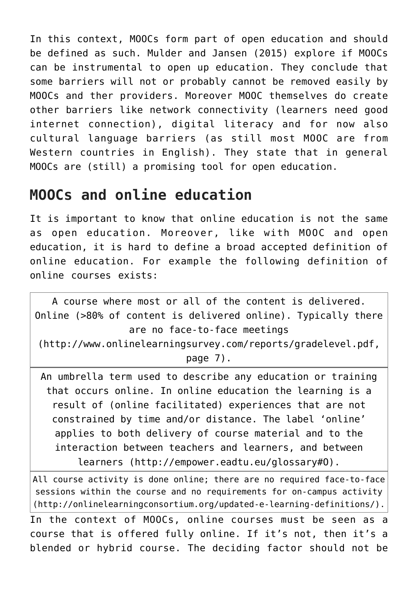In this context, MOOCs form part of open education and should be defined as such. Mulder and Jansen (2015) explore if MOOCs can be instrumental to open up education. They conclude that some barriers will not or probably cannot be removed easily by MOOCs and ther providers. Moreover MOOC themselves do create other barriers like network connectivity (learners need good internet connection), digital literacy and for now also cultural language barriers (as still most MOOC are from Western countries in English). They state that in general MOOCs are (still) a promising tool for open education.

#### **MOOCs and online education**

It is important to know that online education is not the same as open education. Moreover, like with MOOC and open education, it is hard to define a broad accepted definition of online education. For example the following definition of online courses exists:

A course where most or all of the content is delivered. Online (>80% of content is delivered online). Typically there are no face-to-face meetings (<http://www.onlinelearningsurvey.com/reports/gradelevel.pdf>, page 7). An umbrella term used to describe any education or training that occurs online. In online education the learning is a result of (online facilitated) experiences that are not constrained by time and/or distance. The label 'online' applies to both delivery of course material and to the interaction between teachers and learners, and between learners (<http://empower.eadtu.eu/glossary#O>).

All course activity is done online; there are no required face-to-face sessions within the course and no requirements for on-campus activity (<http://onlinelearningconsortium.org/updated-e-learning-definitions/>).

In the context of MOOCs, online courses must be seen as a course that is offered fully online. If it's not, then it's a blended or hybrid course. The deciding factor should not be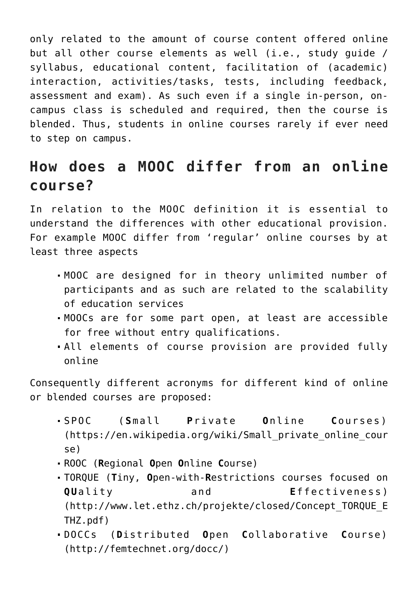only related to the amount of course content offered online but all other course elements as well (i.e., study guide / syllabus, educational content, facilitation of (academic) interaction, activities/tasks, tests, including feedback, assessment and exam). As such even if a single in-person, oncampus class is scheduled and required, then the course is blended. Thus, students in online courses rarely if ever need to step on campus.

#### **How does a MOOC differ from an online course?**

In relation to the MOOC definition it is essential to understand the differences with other educational provision. For example MOOC differ from 'regular' online courses by at least three aspects

- MOOC are designed for in theory unlimited number of participants and as such are related to the scalability of education services
- MOOCs are for some part open, at least are accessible for free without entry qualifications.
- All elements of course provision are provided fully online

Consequently different acronyms for different kind of online or blended courses are proposed:

- SPOC (**S**mall **P**rivate **O**nline **C**ourses) ([https://en.wikipedia.org/wiki/Small\\_private\\_online\\_cour](https://en.wikipedia.org/wiki/Small_private_online_course) [se\)](https://en.wikipedia.org/wiki/Small_private_online_course)
- ROOC (**R**egional **O**pen **O**nline **C**ourse)
- TORQUE (**T**iny, **O**pen-with-**R**estrictions courses focused on **QUality** and **Effectiveness**) ([http://www.let.ethz.ch/projekte/closed/Concept\\_TORQUE\\_E](http://www.let.ethz.ch/projekte/closed/Concept_TORQUE_ETHZ.pdf) [THZ.pdf](http://www.let.ethz.ch/projekte/closed/Concept_TORQUE_ETHZ.pdf))
- DOCCs (**D**istributed **O**pen **C**ollaborative **C**ourse) [\(http://femtechnet.org/docc/\)](http://femtechnet.org/docc/)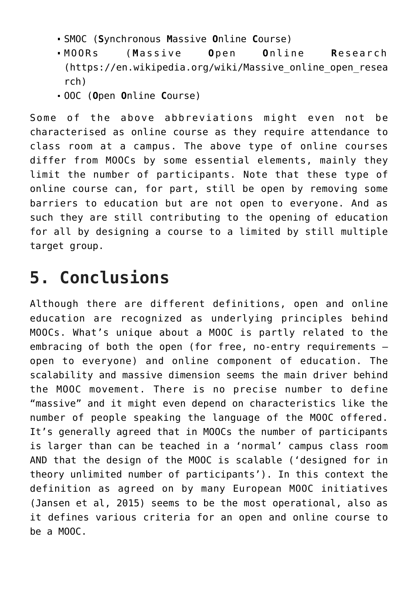- SMOC (**S**ynchronous **M**assive **O**nline **C**ourse)
- MOORs (**M**assive **O**pen **O**nline **R**esearch ([https://en.wikipedia.org/wiki/Massive\\_online\\_open\\_resea](https://en.wikipedia.org/wiki/Massive_online_open_research) [rch\)](https://en.wikipedia.org/wiki/Massive_online_open_research)
- OOC (**O**pen **O**nline **C**ourse)

Some of the above abbreviations might even not be characterised as online course as they require attendance to class room at a campus. The above type of online courses differ from MOOCs by some essential elements, mainly they limit the number of participants. Note that these type of online course can, for part, still be open by removing some barriers to education but are not open to everyone. And as such they are still contributing to the opening of education for all by designing a course to a limited by still multiple target group.

## **5. Conclusions**

Although there are different definitions, open and online education are recognized as underlying principles behind MOOCs. What's unique about a MOOC is partly related to the embracing of both the open (for free, no-entry requirements – open to everyone) and online component of education. The scalability and massive dimension seems the main driver behind the MOOC movement. There is no precise number to define "massive" and it might even depend on characteristics like the number of people speaking the language of the MOOC offered. It's generally agreed that in MOOCs the number of participants is larger than can be teached in a 'normal' campus class room AND that the design of the MOOC is scalable ('designed for in theory unlimited number of participants'). In this context the definition as agreed on by many European MOOC initiatives (Jansen et al, 2015) seems to be the most operational, also as it defines various criteria for an open and online course to be a MOOC.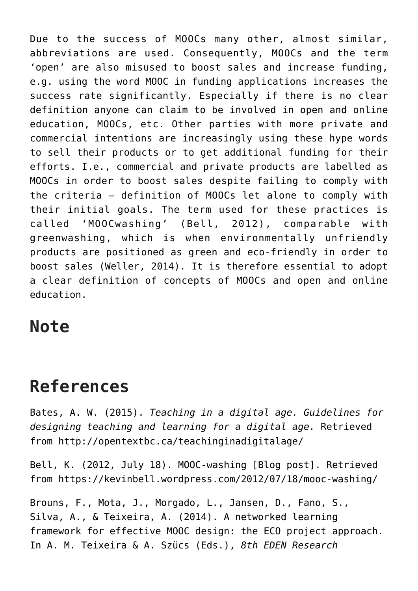Due to the success of MOOCs many other, almost similar, abbreviations are used. Consequently, MOOCs and the term 'open' are also misused to boost sales and increase funding, e.g. using the word MOOC in funding applications increases the success rate significantly. Especially if there is no clear definition anyone can claim to be involved in open and online education, MOOCs, etc. Other parties with more private and commercial intentions are increasingly using these hype words to sell their products or to get additional funding for their efforts. I.e., commercial and private products are labelled as MOOCs in order to boost sales despite failing to comply with the criteria – definition of MOOCs let alone to comply with their initial goals. The term used for these practices is called 'MOOCwashing' (Bell, 2012), comparable with greenwashing, which is when environmentally unfriendly products are positioned as green and eco-friendly in order to boost sales (Weller, 2014). It is therefore essential to adopt a clear definition of concepts of MOOCs and open and online education.

#### **Note**

## **References**

Bates, A. W. (2015). *Teaching in a digital age. Guidelines for designing teaching and learning for a digital age.* Retrieved from<http://opentextbc.ca/teachinginadigitalage/>

Bell, K. (2012, July 18). MOOC-washing [Blog post]. Retrieved from<https://kevinbell.wordpress.com/2012/07/18/mooc-washing/>

Brouns, F., Mota, J., Morgado, L., Jansen, D., Fano, S., Silva, A., & Teixeira, A. (2014). A networked learning framework for effective MOOC design: the ECO project approach. In A. M. Teixeira & A. Szücs (Eds.), *8th EDEN Research*